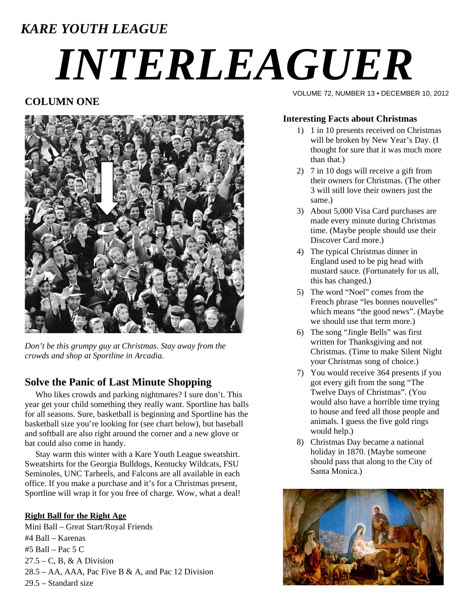# *KARE YOUTH LEAGUE*

# *INTERLEAGUER*

# **COLUMN ONE**



*Don't be this grumpy guy at Christmas. Stay away from the crowds and shop at Sportline in Arcadia.* 

# **Solve the Panic of Last Minute Shopping**

 Who likes crowds and parking nightmares? I sure don't. This year get your child something they really want. Sportline has balls for all seasons. Sure, basketball is beginning and Sportline has the basketball size you're looking for (see chart below), but baseball and softball are also right around the corner and a new glove or bat could also come in handy.

 Stay warm this winter with a Kare Youth League sweatshirt. Sweatshirts for the Georgia Bulldogs, Kentucky Wildcats, FSU Seminoles, UNC Tarheels, and Falcons are all available in each office. If you make a purchase and it's for a Christmas present, Sportline will wrap it for you free of charge. Wow, what a deal!

#### **Right Ball for the Right Age**

Mini Ball – Great Start/Royal Friends #4 Ball – Karenas #5 Ball – Pac 5 C  $27.5 - C$ , B, & A Division  $28.5 - AA$ , AAA, Pac Five B & A, and Pac 12 Division 29.5 – Standard size

VOLUME 72, NUMBER 13 • DECEMBER 10, 2012

## **Interesting Facts about Christmas**

- 1) 1 in 10 presents received on Christmas will be broken by New Year's Day. (I thought for sure that it was much more than that.)
- 2) 7 in 10 dogs will receive a gift from their owners for Christmas. (The other 3 will still love their owners just the same.)
- 3) About 5,000 Visa Card purchases are made every minute during Christmas time. (Maybe people should use their Discover Card more.)
- 4) The typical Christmas dinner in England used to be pig head with mustard sauce. (Fortunately for us all, this has changed.)
- 5) The word "Noel" comes from the French phrase "les bonnes nouvelles" which means "the good news". (Maybe we should use that term more.)
- 6) The song "Jingle Bells" was first written for Thanksgiving and not Christmas. (Time to make Silent Night your Christmas song of choice.)
- 7) You would receive 364 presents if you got every gift from the song "The Twelve Days of Christmas". (You would also have a horrible time trying to house and feed all those people and animals. I guess the five gold rings would help.)
- 8) Christmas Day became a national holiday in 1870. (Maybe someone should pass that along to the City of Santa Monica.)